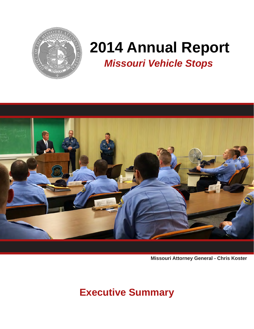

# **2014 Annual Report** *Missouri Vehicle Stops*



**Missouri Attorney General - Chris Koster**

# **Executive Summary**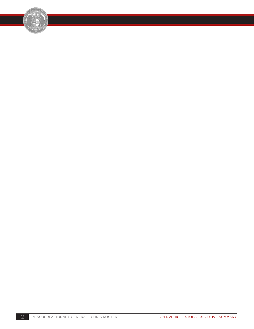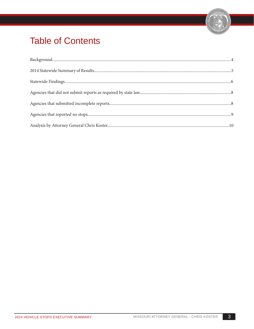# **Table of Contents**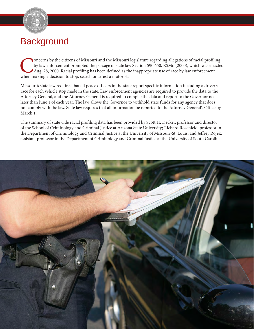

#### **Background**

Oncerns by the citizens of Missouri and the Missouri legislature regarding allegations of racial profiling by law enforcement prompted the passage of state law Section 590.650, RSMo (2000), which was enacte Aug. 28, 2000. by law enforcement prompted the passage of state law Section 590.650, RSMo (2000), which was enacted Aug. 28, 2000. Racial profiling has been defined as the inappropriate use of race by law enforcement when making a decision to stop, search or arrest a motorist.

Missouri's state law requires that all peace officers in the state report specific information including a driver's race for each vehicle stop made in the state. Law enforcement agencies are required to provide the data to the Attorney General, and the Attorney General is required to compile the data and report to the Governor no later than June 1 of each year. The law allows the Governor to withhold state funds for any agency that does not comply with the law. State law requires that all information be reported to the Attorney General's Office by March 1.

The summary of statewide racial profiling data has been provided by Scott H. Decker, professor and director of the School of Criminology and Criminal Justice at Arizona State University; Richard Rosenfeld, professor in the Department of Criminology and Criminal Justice at the University of Missouri-St. Louis; and Jeffrey Rojek, assistant professor in the Department of Criminology and Criminal Justice at the University of South Carolina.

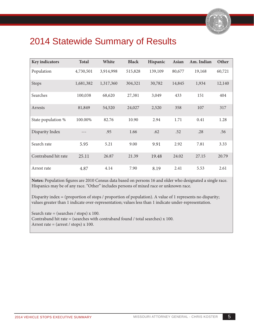

#### 2014 Statewide Summary of Results

| Key indicators      | <b>Total</b> | White     | <b>Black</b> | Hispanic | Asian  | Am. Indian | Other  |
|---------------------|--------------|-----------|--------------|----------|--------|------------|--------|
| Population          | 4,730,501    | 3,914,998 | 515,828      | 139,109  | 80,677 | 19,168     | 60,721 |
| <b>Stops</b>        | 1,681,382    | 1,317,360 | 304,321      | 30,782   | 14,845 | 1,934      | 12,140 |
| Searches            | 100,038      | 68,620    | 27,381       | 3,049    | 433    | 151        | 404    |
| Arrests             | 81,849       | 54,520    | 24,027       | 2,520    | 358    | 107        | 317    |
| State population %  | 100.00%      | 82.76     | 10.90        | 2.94     | 1.71   | 0.41       | 1.28   |
| Disparity Index     |              | .95       | 1.66         | .62      | .52    | .28        | .56    |
| Search rate         | 5.95         | 5.21      | 9.00         | 9.91     | 2.92   | 7.81       | 3.33   |
| Contraband hit rate | 25.11        | 26.87     | 21.39        | 19.48    | 24.02  | 27.15      | 20.79  |
| Arrest rate         | 4.87         | 4.14      | 7.90         | 8.19     | 2.41   | 5.53       | 2.61   |

**Notes:** Population figures are 2010 Census data based on persons 16 and older who designated a single race. Hispanics may be of any race. "Other" includes persons of mixed race or unknown race.

Disparity index = (proportion of stops / proportion of population). A value of 1 represents no disparity; values greater than 1 indicate over-representation; values less than 1 indicate under-representation.

Search rate = (searches / stops) x 100. Contraband hit rate = (searches with contraband found / total searches) x 100. Arrest rate =  $(\text{arrest } / \text{ stops}) \times 100$ .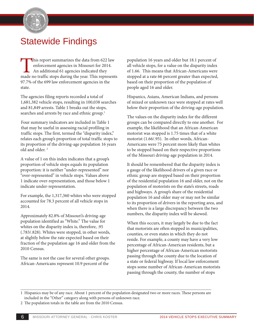

### Statewide Findings

This report summarizes the data from 622 law enforcement agencies in Missouri for 2014.<br>An additional 61 agencies indicated they made no traffic stops during the year. This represents enforcement agencies in Missouri for 2014. An additional 61 agencies indicated they 97.7% of the 699 law enforcement agencies in the state.

The agencies filing reports recorded a total of 1,681,382 vehicle stops, resulting in 100,038 searches and 81,849 arrests. Table 1 breaks out the stops, searches and arrests by race and ethnic group.<sup>1</sup>

Fo<br>tha<br>tra<br>rel: Four summary indicators are included in Table 1 that may be useful in assessing racial profiling in traffic stops. The first, termed the "disparity index," relates each group's proportion of total traffic stops to its proportion of the driving-age population 16 years old and older.<sup>2</sup>

A value of 1 on this index indicates that a group's proportion of vehicle stops equals its population proportion: it is neither "under-represented" nor "over-represented" in vehicle stops. Values above 1 indicate over-representation, and those below 1 indicate under-representation.

For example, the 1,317,360 whites who were stopped accounted for 78.3 percent of all vehicle stops in 2014.

Approximately 82.8% of Missouri's driving-age population identified as "White." The value for whites on the disparity index is, therefore, .95 (.783/.828). Whites were stopped, in other words, at slightly below the rate expected based on their fraction of the population age 16 and older from the 2010 Census.

The same is not the case for several other groups. African-Americans represent 10.9 percent of the

population 16 years and older but 18.1 percent of all vehicle stops, for a value on the disparity index of 1.66. This means that African-Americans were stopped at a rate 66 percent greater than expected, based on their proportion of the population of people aged 16 and older.

Hispanics, Asians, American Indians, and persons of mixed or unknown race were stopped at rates well below their proportion of the driving-age population.

The values on the disparity index for the different groups can be compared directly to one another. For example, the likelihood that an African-American motorist was stopped is 1.75 times that of a white motorist (1.66/.95). In other words, African-Americans were 75 percent more likely than whites to be stopped based on their respective proportions of the Missouri driving-age population in 2014.

It should be remembered that the disparity index is a gauge of the likelihood drivers of a given race or ethnic group are stopped based on their proportion of the residential population 16 and older, not on the population of motorists on the state's streets, roads and highways. A group's share of the residential population 16 and older may or may not be similar to its proportion of drivers in the reporting area, and when there is a large discrepancy between the two numbers, the disparity index will be skewed.

When this occurs, it may largely be due to the fact that motorists are often stopped in municipalities, counties, or even states in which they do not reside. For example, a county may have a very low percentage of African-American residents, but a higher percentage of African-American motorists passing through the county due to the location of a state or federal highway. If local law enforcement stops some number of African-American motorists passing through the county, the number of stops

\_\_\_\_\_\_\_\_\_\_\_\_\_\_\_\_\_\_\_\_\_\_\_\_\_\_\_\_\_\_\_\_\_\_\_\_\_\_\_\_\_\_\_\_\_\_\_\_\_\_\_\_\_\_\_\_\_\_\_\_\_\_\_\_\_\_\_\_\_\_\_\_\_\_\_\_\_\_\_\_\_\_\_\_\_\_\_\_\_\_\_\_ 1 Hispanics may be of any race. About 1 percent of the population designated two or more races. These persons are included in the "Other" category along with persons of unknown race.

2 The population totals in the table are from the 2010 Census.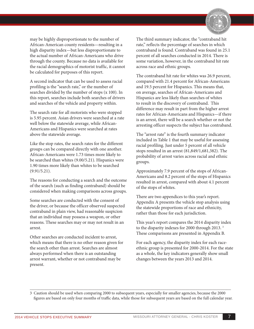

may be highly disproportionate to the number of African-American county residents—resulting in a high disparity index—but less disproportionate to the actual number of African-Americans who drive through the county. Because no data is available for the racial demographics of motorist traffic, it cannot be calculated for purposes of this report.

A second indicator that can be used to assess racial profiling is the "search rate," or the number of searches divided by the number of stops (x 100). In this report, searches include both searches of drivers and searches of the vehicle and property within.

The search rate for all motorists who were stopped is 5.95 percent. Asian drivers were searched at a rate well below the statewide average, while African-Americans and Hispanics were searched at rates above the statewide average.

Like the stop rates, the search rates for the different groups can be compared directly with one another. African-Americans were 1.73 times more likely to be searched than whites (9.00/5.21). Hispanics were 1.90 times more likely than whites to be searched (9.91/5.21).

The reasons for conducting a search and the outcome of the search (such as finding contraband) should be considered when making comparisons across groups.

Some searches are conducted with the consent of the driver, or because the officer observed suspected contraband in plain view, had reasonable suspicion that an individual may possess a weapon, or other reasons. These searches may or may not result in an arrest.

Other searches are conducted incident to arrest, which means that there is no other reason given for the search other than arrest. Searches are almost always performed when there is an outstanding arrest warrant, whether or not contraband may be present.

The third summary indicator, the "contraband hit rate," reflects the percentage of searches in which contraband is found. Contraband was found in 25.1 percent of all searches conducted in 2014. There is some variation, however, in the contraband hit rate across race and ethnic groups.

The contraband hit rate for whites was 26.9 percent, compared with 21.4 percent for African-Americans and 19.5 percent for Hispanics. This means that, on average, searches of African-Americans and Hispanics are less likely than searches of whites to result in the discovery of contraband. This difference may result in part from the higher arrest rates for African-Americans and Hispanics—if there is an arrest, there will be a search whether or not the arresting officer suspects the subject has contraband.

The "arrest rate" is the fourth summary indicator included in Table 1 that may be useful for assessing racial profiling. Just under 5 percent of all vehicle stops resulted in an arrest (81,849/1,681,382). The probability of arrest varies across racial and ethnic groups.

Approximately 7.9 percent of the stops of African-Americans and 8.2 percent of the stops of Hispanics resulted in arrest, compared with about 4.1 percent of the stops of whites.

There are two appendices to this year's report. Appendix A presents the vehicle stop analysis using the statewide proportions of race and ethnicity, rather than those for each jurisdiction.

This year's report compares the 2014 disparity index to the disparity indexes for 2000 through 2013. 3 These comparisons are presented in Appendix B.

For each agency, the disparity index for each raceethnic group is presented for 2000-2014. For the state as a whole, the key indicators generally show small changes between the years 2013 and 2014.

 $\_$  ,  $\_$  ,  $\_$  ,  $\_$  ,  $\_$  ,  $\_$  ,  $\_$  ,  $\_$  ,  $\_$  ,  $\_$  ,  $\_$  ,  $\_$  ,  $\_$  ,  $\_$  ,  $\_$  ,  $\_$  ,  $\_$  ,  $\_$  ,  $\_$  ,  $\_$  ,  $\_$  ,  $\_$  ,  $\_$  ,  $\_$  ,  $\_$  ,  $\_$  ,  $\_$  ,  $\_$  ,  $\_$  ,  $\_$  ,  $\_$  ,  $\_$  ,  $\_$  ,  $\_$  ,  $\_$  ,  $\_$  ,  $\_$  , 3 Caution should be used when comparing 2000 to subsequent years, especially for smaller agencies, because the 2000 figures are based on only four months of traffic data, while those for subsequent years are based on the full calendar year.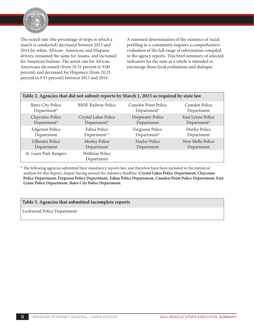

The search rate (the percentage of stops in which a search is conducted) decreased between 2013 and 2014 for white, African- American, and Hispanic drivers, remained the same for Asians, and increased for American Indians. The arrest rate for African-Americans decreased (from 10.31 percent to 9.00 percent) and decreased for Hispanics (from 10.23 percent to 9.91 percent) between 2013 and 2014.

A reasoned determination of the existence of racial profiling in a community requires a comprehensive evaluation of the full range of information compiled in the agency reports. This brief summary of selected indicators for the state as a whole is intended to encourage those local evaluations and dialogue.

| Table 2. Agencies that did not submit reports by March 1, 2015 as required by state law |                                      |                     |                      |  |  |  |  |  |
|-----------------------------------------------------------------------------------------|--------------------------------------|---------------------|----------------------|--|--|--|--|--|
| <b>Bates City Police</b>                                                                | <b>BNSF Railway Police</b>           | Camden Point Police | Camden Police        |  |  |  |  |  |
| Department*                                                                             |                                      | Department*         | Department           |  |  |  |  |  |
| Claycomo Police                                                                         | Crystal Lakes Police                 | Deepwater Police    | East Lynne Police    |  |  |  |  |  |
| Department*                                                                             | Department*                          | Department          | Department*          |  |  |  |  |  |
| <b>Edgerton Police</b>                                                                  | Edina Police                         | Ferguson Police     | <b>Hurley Police</b> |  |  |  |  |  |
| Department                                                                              | Department*                          | Department*         | Department           |  |  |  |  |  |
| Lilbourn Police                                                                         | Morley Police                        | Naylor Police       | New Melle Police     |  |  |  |  |  |
| Department                                                                              | Department                           | Department          | Department           |  |  |  |  |  |
| St. Louis Park Rangers                                                                  | <b>Wellston Police</b><br>Department |                     |                      |  |  |  |  |  |

\* The following agencies submitted their mandatory reports late, and therefore have been included in the statistical analysis for this Report, despite having missed the statutory deadline: **Crystal Lakes Police Department, Claycomo Police Department, Ferguson Police Department, Edina Police Department, Camden Point Police Department, East Lynne Police Department, Bates City Police Department**.

#### **Table 3. Agencies that submitted incomplete reports**

Lockwood Police Department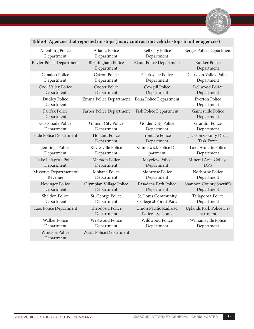

| Table 4. Agencies that reported no stops (many contract out vehicle stops to other agencies) |                                 |                                |                                     |  |  |  |
|----------------------------------------------------------------------------------------------|---------------------------------|--------------------------------|-------------------------------------|--|--|--|
| Altenburg Police                                                                             | Atlanta Police                  | <b>Bell City Police</b>        | Berger Police Department            |  |  |  |
| Department                                                                                   | Department                      | Department                     |                                     |  |  |  |
| <b>Bevier Police Department</b>                                                              | Birmingham Police<br>Department | <b>Bland Police Department</b> | <b>Bunker Police</b><br>Department  |  |  |  |
| Canalou Police                                                                               | <b>Catron Police</b>            | Clarksdale Police              | Clarkson Valley Police              |  |  |  |
| Department                                                                                   | Department                      | Department                     | Department                          |  |  |  |
| Cool Valley Police                                                                           | <b>Cooter Police</b>            | Cowgill Police                 | Dellwood Police                     |  |  |  |
| Department                                                                                   | Department                      | Department                     | Department                          |  |  |  |
| <b>Dudley Police</b><br>Department                                                           | Emma Police Department          | Eolia Police Department        | <b>Everton Police</b><br>Department |  |  |  |
| Fairfax Police<br>Department                                                                 | Farber Police Department        | Fisk Police Department         | Gainesville Police<br>Department    |  |  |  |
| Gasconade Police                                                                             | Gilman City Police              | Golden City Police             | <b>Grandin Police</b>               |  |  |  |
| Department                                                                                   | Department                      | Department                     | Department                          |  |  |  |
| Hale Police Department                                                                       | <b>Holland Police</b>           | Irondale Police                | Jackson County Drug                 |  |  |  |
|                                                                                              | Department                      | Department                     | <b>Task Force</b>                   |  |  |  |
| Jennings Police                                                                              | Keytesville Police              | Kimmswick Police De-           | Lake Annette Police                 |  |  |  |
| Department                                                                                   | Department                      | partment                       | Department                          |  |  |  |
| Lake Lafayette Police                                                                        | Marston Police                  | Mayview Police                 | Mineral Area College                |  |  |  |
| Department                                                                                   | Department                      | Department                     | <b>DPS</b>                          |  |  |  |
| Missouri Department of                                                                       | Mokane Police                   | Montrose Police                | Norborne Police                     |  |  |  |
| Revenue                                                                                      | Department                      | Department                     | Department                          |  |  |  |
| Novinger Police                                                                              | Olympian Village Police         | Pasadena Park Police           | Shannon County Sheriff's            |  |  |  |
| Department                                                                                   | Department                      | Department                     | Department                          |  |  |  |
| Sheldon Police                                                                               | St. George Police               | St. Louis Community            | Tallapoosa Police                   |  |  |  |
| Department                                                                                   | Department                      | College at Forest Park         | Department                          |  |  |  |
| Taos Police Department                                                                       | Theodosia Police                | <b>Union Pacific Railroad</b>  | Uplands Park Police De-             |  |  |  |
|                                                                                              | Department                      | Police - St. Louis             | partment                            |  |  |  |
| <b>Walker Police</b>                                                                         | Westwood Police                 | Wildwood Police                | Williamsville Police                |  |  |  |
| Department                                                                                   | Department                      | Department                     | Department                          |  |  |  |
| <b>Windsor Police</b><br>Department                                                          | <b>Wyatt Police Department</b>  |                                |                                     |  |  |  |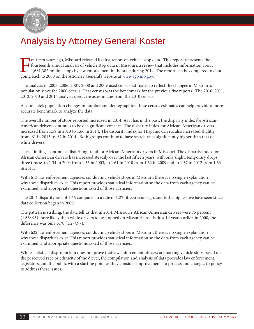

# Analysis by Attorney General Koster

Fourteen years ago, Missouri released its first report on vehicle stop data. This report represents the fourteenth annual analysis of vehicle stop data in Missouri, a review that includes information about 1,681,382 millio fourteenth annual analysis of vehicle stop data in Missouri, a review that includes information about 1,681,382 million stops by law enforcement in the state during 2014. The report can be compared to data going back to 2000 on the Attorney General's website at www.ago.mo.gov.

The analysis in 2005, 2006, 2007, 2008 and 2009 used census estimates to reflect the changes in Missouri's population since the 2000 census. That census was the benchmark for the previous five reports. The 2010, 2011, 2012, 2013 and 2014 analysis used census estimates from the 2010 census.

As our state's population changes in number and demographics, these census estimates can help provide a more accurate benchmark to analyze the data.

The overall number of stops reported increased in 2014. As it has in the past, the disparity index for African-American drivers continues to be of significant concern. The disparity index for African-American drivers increased from 1.59 in 2013 to 1.66 in 2014. The disparity index for Hispanic drivers also increased slightly from .61 in 2013 to .62 in 2014. Both groups continue to have search rates significantly higher than that of white drivers.

These findings continue a disturbing trend for African-American drivers in Missouri. The disparity index for African-American drivers has increased steadily over the last fifteen years, with only slight, temporary drops three times: to 1.34 in 2004 from 1.36 in 2003, to 1.61 in 2010 from 1.62 in 2009 and to 1.57 in 2012 from 1.63 in 2011.

With 613 law enforcement agencies conducting vehicle stops in Missouri, there is no single explanation why these disparities exist. This report provides statistical information so the data from each agency can be examined, and appropriate questions asked of those agencies.

The 2014 disparity rate of 1.66 compares to a rate of 1.27 fifteen years ago, and is the highest we have seen since data collection began in 2000.

The pattern is striking: the data tell us that in 2014, Missouri's African-American drivers were 75 percent (1.66/.95) more likely than white drivers to be stopped on Missouri's roads. Just 14 years earlier, in 2000, the difference was only 31% (1.27/.97).

With 622 law enforcement agencies conducting vehicle stops in Missouri, there is no single explanation why these disparities exist. This report provides statistical information so the data from each agency can be examined, and appropriate questions asked of those agencies.

While statistical disproportion does not prove that law enforcement officers are making vehicle stops based on the perceived race or ethnicity of the driver, the compilation and analysis of data provides law enforcement, legislators, and the public with a starting point as they consider improvements to process and changes to policy to address these issues.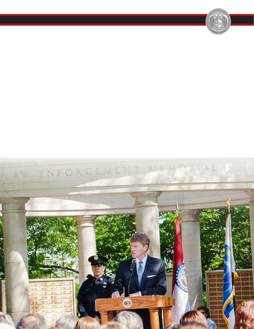